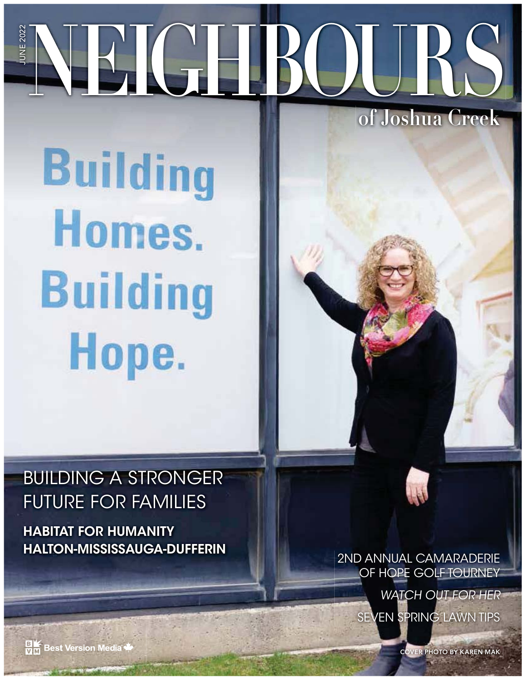# **NEIGHBOURS of Joshua Creek** JUNE 2022

**Building** Homes. **Building** Hope.

# BUILDING A STRONGER FUTURE FOR FAMILIES

**HABITAT FOR HUMANITY HALTON-MISSISSAUGA-DUFFERIN** 2ND ANNUAL CAMARADERIE

OF HOPE GOLF TOURNEY

WATCH OUT FOR HER SEVEN SPRING LAWN TIPS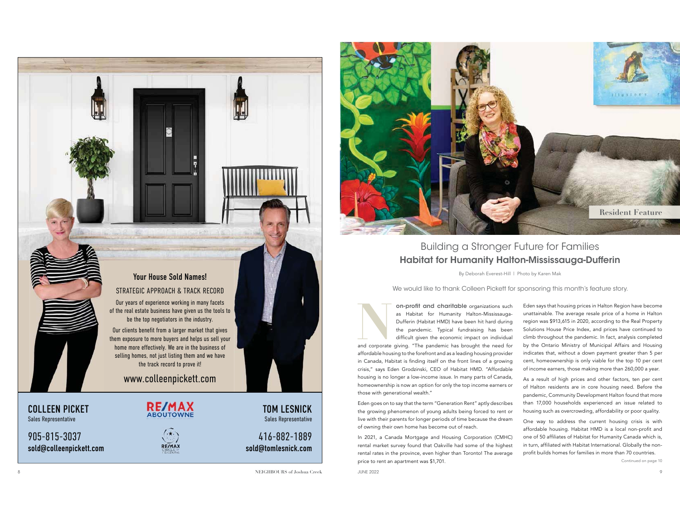COLLEEN PICKET

Sales Representative

905-815-3037sold@colleenpickett.com



www.colleenpickett.com

Your House Sold Names!STRATEGIC APPROACH & TRACK RECORDOur years of experience working in many facets of the real estate business have given us the tools to be the top negotiators in the industry. Our clients benefit from a larger market that gives them exposure to more buyers and helps us sell your home more effectively. We are in the business of selling homes, not just listing them and we have the track record to prove it!

> $(\cdot, \cdot)$ **RE/MAX**

TOM LESNICKSales Representative

416-882-1889sold@tomlesnick.com

**NEIGHBOURS of Joshua Creek**



## Building a Stronger Future for Families **Habitat for Humanity Halton-Mississauga-Dufferin**

By Deborah Everest-Hill | Photo by Karen Mak

We would like to thank Colleen Pickett for sponsoring this month's feature story.

**Naman** *S* Habitat for Humanity Halton-Mississauga-<br>
Dufferin (Habitat HMD) have been hit hard during the pandemic. Typical fundraising has been ifficult given the economic impact on individual and corporate giving. "The pandemic has brought the need for affordable housing to the forefront and as a leading housing provider in Canada, Habitat is finding itself on the front lines of a growing crisis," says Eden Grodzinski, CEO of Habitat HMD. "Affordable housing is no longer a low-income issue. In many parts of Canada, homeownership is now an option for only the top income earners or those with generational wealth."

Eden goes on to say that the term "Generation Rent" aptly describes the growing phenomenon of young adults being forced to rent or live with their parents for longer periods of time because the dream of owning their own home has become out of reach.

In 2021, a Canada Mortgage and Housing Corporation (CMHC) rental market survey found that Oakville had some of the highest rental rates in the province, even higher than Toronto! The average price to rent an apartment was \$1,701.

k beste blue 2022 and the set of the set of the set of the set of the set of the set of the set of the set of the set of the set of the set of the set of the set of the set of the set of the set of the set of the set of th

Eden says that housing prices in Halton Region have become unattainable. The average resale price of a home in Halton region was \$913,615 in 2020, according to the Real Property Solutions House Price Index, and prices have continued to climb throughout the pandemic. In fact, analysis completed by the Ontario Ministry of Municipal Affairs and Housing indicates that, without a down payment greater than 5 per cent, homeownership is only viable for the top 10 per cent of income earners, those making more than 260,000 a year.

As a result of high prices and other factors, ten per cent of Halton residents are in core housing need. Before the pandemic, Community Development Halton found that more than 17,000 households experienced an issue related to housing such as overcrowding, affordability or poor quality.

One way to address the current housing crisis is with affordable housing. Habitat HMD is a local non-profit and one of 50 affiliates of Habitat for Humanity Canada which is, in turn, affiliated with Habitat International. Globally the nonprofit builds homes for families in more than 70 countries.

Continued on page 10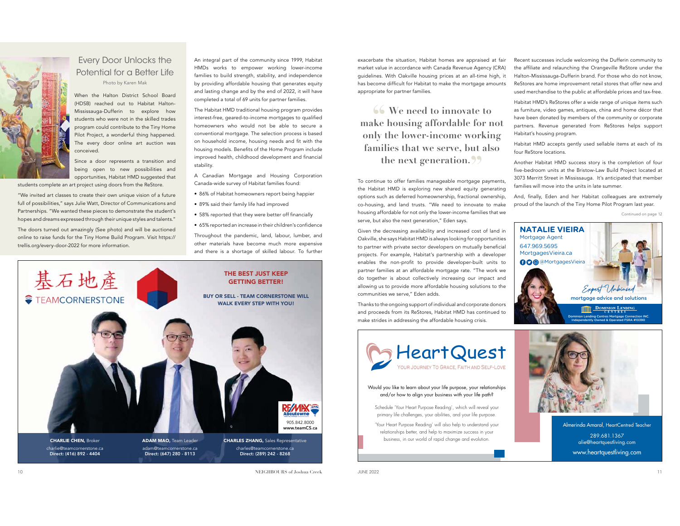#### Every Door Unlocks the Potential for a Better LifePhoto by Karen Mak

When the Halton District School Board (HDSB) reached out to Habitat Halton-Mississauga-Dufferin to explore how students who were not in the skilled trades program could contribute to the Tiny Home Pilot Project, a wonderful thing happened. The every door online art auction was conceived.

Since a door represents a transition and being open to new possibilities and opportunities, Habitat HMD suggested that

students complete an art project using doors from the ReStore.

"We invited art classes to create their own unique vision of a future full of possibilities," says Julie Watt, Director of Communications and Partnerships. "We wanted these pieces to demonstrate the student's hopes and dreams expressed through their unique styles and talents."

The doors turned out amazingly (See photo) and will be auctioned online to raise funds for the Tiny Home Build Program. Visit https:// trellis.org/every-door-2022 for more information.

An integral part of the community since 1999, Habitat HMDs works to empower working lower-income families to build strength, stability, and independence by providing affordable housing that generates equity and lasting change and by the end of 2022, it will have completed a total of 69 units for partner families.

The Habitat HMD traditional housing program provides interest-free, geared-to-income mortgages to qualified homeowners who would not be able to secure a conventional mortgage. The selection process is based on household income, housing needs and fit with the housing models. Benefits of the Home Program include improved health, childhood development and financial stability.

A Canadian Mortgage and Housing Corporation Canada-wide survey of Habitat families found:

- 86% of Habitat homeowners report being happier
- 89% said their family life had improved
- $\bullet\,$  58% reported that they were better off financially
- $\bullet\,$  65% reported an increase in their children's confidence

Throughout the pandemic, land, labour, lumber, and other materials have become much more expensive and there is a shortage of skilled labour. To further exacerbate the situation, Habitat homes are appraised at fair market value in accordance with Canada Revenue Agency (CRA) guidelines. With Oakville housing prices at an all-time high, it has become difficult for Habitat to make the mortgage amounts appropriate for partner families.

**Solution** We need to innovate to **We need to innovate to make housing affordable for not only the lower-income working families that we serve, but also**  the next generation.<sup>99</sup>

To continue to offer families manageable mortgage payments, the Habitat HMD is exploring new shared equity generating options such as deferred homeownership, fractional ownership, co-housing, and land trusts. "We need to innovate to make housing affordable for not only the lower-income families that we serve, but also the next generation," Eden says.

Given the decreasing availability and increased cost of land in Oakville, she says Habitat HMD is always looking for opportunities to partner with private sector developers on mutually beneficial projects. For example, Habitat's partnership with a developer enables the non-profit to provide developer-built units to partner families at an affordable mortgage rate. "The work we do together is about collectively increasing our impact and allowing us to provide more affordable housing solutions to the communities we serve," Eden adds.

Thanks to the ongoing support of individual and corporate donors and proceeds from its ReStores, Habitat HMD has continued to make strides in addressing the affordable housing crisis.



Habitat HMD's ReStores offer a wide range of unique items such as furniture, video games, antiques, china and home décor that have been donated by members of the community or corporate partners. Revenue generated from ReStores helps support Habitat's housing program.

Habitat HMD accepts gently used sellable items at each of its four ReStore locations.

Another Habitat HMD success story is the completion of four five-bedroom units at the Bristow-Law Build Project located at 3073 Merritt Street in Mississauga. It's anticipated that member families will move into the units in late summer.

And, finally, Eden and her Habitat colleagues are extremely proud of the launch of the Tiny Home Pilot Program last year.

Continued on page 12





#### Would you like to learn about your life purpose, your relationships and/or how to align your business with your life path?

Schedule 'Your Heart Purpose Reading', which will reveal your primary life challenges, your abilities, and your life purpose.

'Your Heart Purpose Reading' will also help to understand your relationships better, and help to maximize success in your business, in our world of rapid change and evolution.



Almerinda Amaral, HeartCentred Teacher 289.681.1367 alie@heartquestliving.com www.heartquestliving.com



**NEIGHBOURS of Joshua Creek**